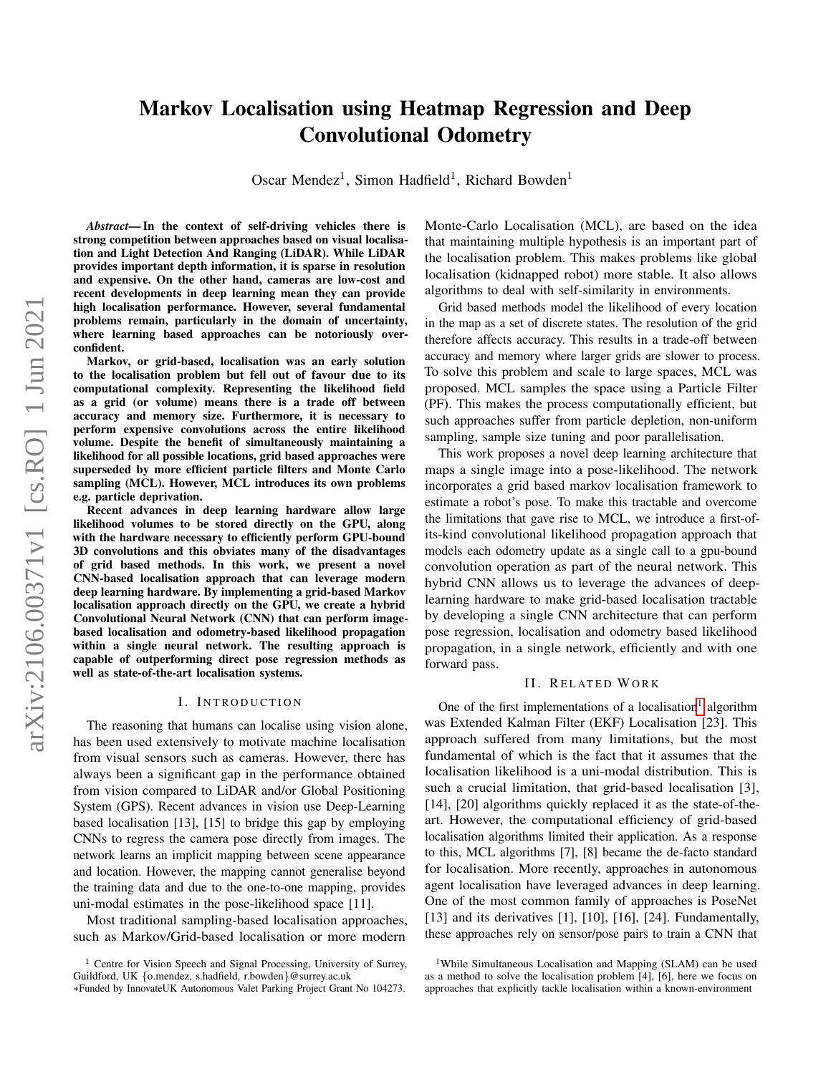# Markov Localisation using Heatmap Regression and Deep Convolutional Odometry

Oscar Mendez<sup>1</sup>, Simon Hadfield<sup>1</sup>, Richard Bowden<sup>1</sup>

*Abstract*— In the context of self-driving vehicles there is strong competition between approaches based on visual localisation and Light Detection And Ranging (LiDAR). While LiDAR provides important depth information, it is sparse in resolution and expensive. On the other hand, cameras are low-cost and recent developments in deep learning mean they can provide high localisation performance. However, several fundamental problems remain, particularly in the domain of uncertainty, where learning based approaches can be notoriously overconfident.

Markov, or grid-based, localisation was an early solution to the localisation problem but fell out of favour due to its computational complexity. Representing the likelihood field as a grid (or volume) means there is a trade off between accuracy and memory size. Furthermore, it is necessary to perform expensive convolutions across the entire likelihood volume. Despite the benefit of simultaneously maintaining a likelihood for all possible locations, grid based approaches were superseded by more efficient particle filters and Monte Carlo sampling (MCL). However, MCL introduces its own problems e.g. particle deprivation.

Recent advances in deep learning hardware allow large likelihood volumes to be stored directly on the GPU, along with the hardware necessary to efficiently perform GPU-bound 3D convolutions and this obviates many of the disadvantages of grid based methods. In this work, we present a novel CNN-based localisation approach that can leverage modern deep learning hardware. By implementing a grid-based Markov localisation approach directly on the GPU, we create a hybrid Convolutional Neural Network (CNN) that can perform imagebased localisation and odometry-based likelihood propagation within a single neural network. The resulting approach is capable of outperforming direct pose regression methods as well as state-of-the-art localisation systems.

#### I. INTRODUCTION

The reasoning that humans can localise using vision alone, has been used extensively to motivate machine localisation from visual sensors such as cameras. However, there has always been a significant gap in the performance obtained from vision compared to LiDAR and/or Global Positioning System (GPS). Recent advances in vision use Deep-Learning based localisation [13], [15] to bridge this gap by employing CNNs to regress the camera pose directly from images. The network learns an implicit mapping between scene appearance and location. However, the mapping cannot generalise beyond the training data and due to the one-to-one mapping, provides uni-modal estimates in the pose-likelihood space [11].

Most traditional sampling-based localisation approaches, such as Markov/Grid-based localisation or more modern

Monte-Carlo Localisation (MCL), are based on the idea that maintaining multiple hypothesis is an important part of the localisation problem. This makes problems like global localisation (kidnapped robot) more stable. It also allows algorithms to deal with self-similarity in environments.

Grid based methods model the likelihood of every location in the map as a set of discrete states. The resolution of the grid therefore affects accuracy. This results in a trade-off between accuracy and memory where larger grids are slower to process. To solve this problem and scale to large spaces, MCL was proposed. MCL samples the space using a Particle Filter (PF). This makes the process computationally efficient, but such approaches suffer from particle depletion, non-uniform sampling, sample size tuning and poor parallelisation.

This work proposes a novel deep learning architecture that maps a single image into a pose-likelihood. The network incorporates a grid based markov localisation framework to estimate a robot's pose. To make this tractable and overcome the limitations that gave rise to MCL, we introduce a first-ofits-kind convolutional likelihood propagation approach that models each odometry update as a single call to a gpu-bound convolution operation as part of the neural network. This hybrid CNN allows us to leverage the advances of deeplearning hardware to make grid-based localisation tractable by developing a single CNN architecture that can perform pose regression, localisation and odometry based likelihood propagation, in a single network, efficiently and with one forward pass.

#### II. RELATED WORK

One of the first implementations of a localisation<sup>[1](#page-0-0)</sup> algorithm was Extended Kalman Filter (EKF) Localisation [23]. This approach suffered from many limitations, but the most fundamental of which is the fact that it assumes that the localisation likelihood is a uni-modal distribution. This is such a crucial limitation, that grid-based localisation [3], [14], [20] algorithms quickly replaced it as the state-of-theart. However, the computational efficiency of grid-based localisation algorithms limited their application. As a response to this, MCL algorithms [7], [8] became the de-facto standard for localisation. More recently, approaches in autonomous agent localisation have leveraged advances in deep learning. One of the most common family of approaches is PoseNet [13] and its derivatives [1], [10], [16], [24]. Fundamentally, these approaches rely on sensor/pose pairs to train a CNN that

<span id="page-0-0"></span><sup>1</sup>While Simultaneous Localisation and Mapping (SLAM) can be used as a method to solve the localisation problem [4], [6], here we focus on approaches that explicitly tackle localisation within a known-environment

<sup>&</sup>lt;sup>1</sup> Centre for Vision Speech and Signal Processing, University of Surrey, Guildford, UK {o.mendez, s.hadfield, r.bowden}@surrey.ac.uk

<sup>∗</sup>Funded by InnovateUK Autonomous Valet Parking Project Grant No 104273.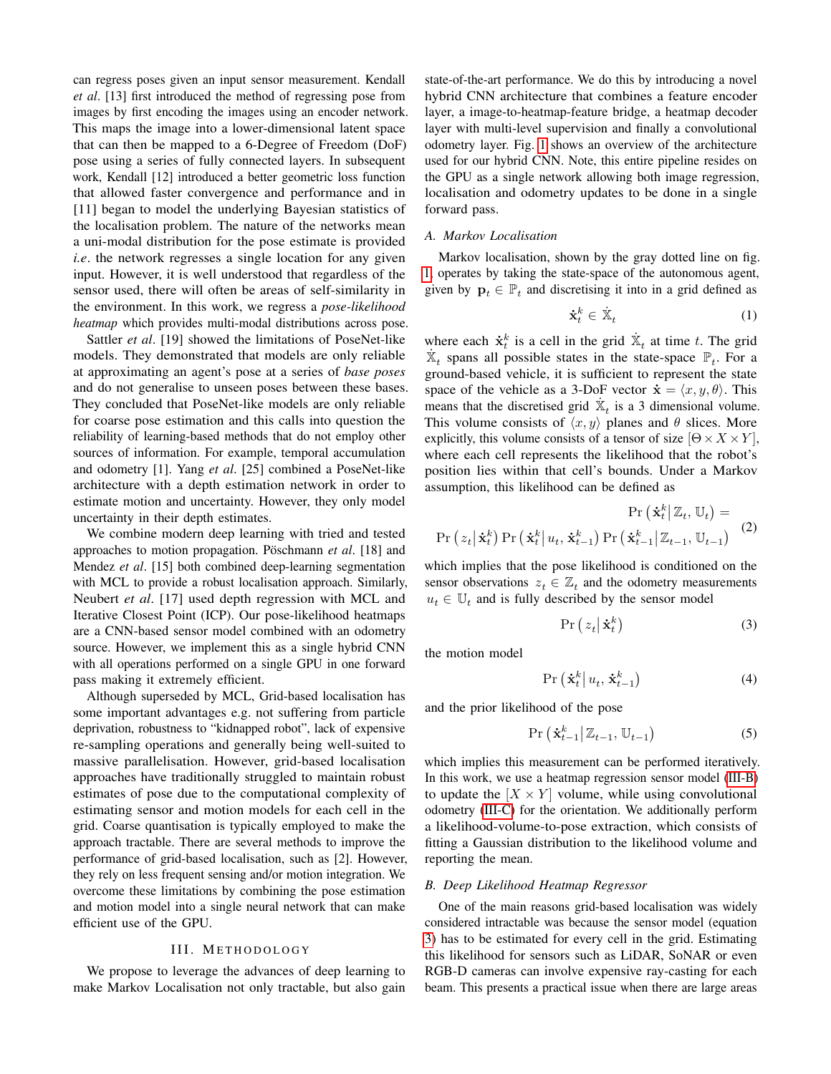can regress poses given an input sensor measurement. Kendall *et al*. [13] first introduced the method of regressing pose from images by first encoding the images using an encoder network. This maps the image into a lower-dimensional latent space that can then be mapped to a 6-Degree of Freedom (DoF) pose using a series of fully connected layers. In subsequent work, Kendall [12] introduced a better geometric loss function that allowed faster convergence and performance and in [11] began to model the underlying Bayesian statistics of the localisation problem. The nature of the networks mean a uni-modal distribution for the pose estimate is provided *i.e*. the network regresses a single location for any given input. However, it is well understood that regardless of the sensor used, there will often be areas of self-similarity in the environment. In this work, we regress a *pose-likelihood heatmap* which provides multi-modal distributions across pose.

Sattler *et al*. [19] showed the limitations of PoseNet-like models. They demonstrated that models are only reliable at approximating an agent's pose at a series of *base poses* and do not generalise to unseen poses between these bases. They concluded that PoseNet-like models are only reliable for coarse pose estimation and this calls into question the reliability of learning-based methods that do not employ other sources of information. For example, temporal accumulation and odometry [1]. Yang *et al*. [25] combined a PoseNet-like architecture with a depth estimation network in order to estimate motion and uncertainty. However, they only model uncertainty in their depth estimates.

We combine modern deep learning with tried and tested approaches to motion propagation. Poschmann *et al.* [18] and Mendez *et al*. [15] both combined deep-learning segmentation with MCL to provide a robust localisation approach. Similarly, Neubert *et al*. [17] used depth regression with MCL and Iterative Closest Point (ICP). Our pose-likelihood heatmaps are a CNN-based sensor model combined with an odometry source. However, we implement this as a single hybrid CNN with all operations performed on a single GPU in one forward pass making it extremely efficient.

Although superseded by MCL, Grid-based localisation has some important advantages e.g. not suffering from particle deprivation, robustness to "kidnapped robot", lack of expensive re-sampling operations and generally being well-suited to massive parallelisation. However, grid-based localisation approaches have traditionally struggled to maintain robust estimates of pose due to the computational complexity of estimating sensor and motion models for each cell in the grid. Coarse quantisation is typically employed to make the approach tractable. There are several methods to improve the performance of grid-based localisation, such as [2]. However, they rely on less frequent sensing and/or motion integration. We overcome these limitations by combining the pose estimation and motion model into a single neural network that can make efficient use of the GPU.

#### III. METHODOLOGY

We propose to leverage the advances of deep learning to make Markov Localisation not only tractable, but also gain state-of-the-art performance. We do this by introducing a novel hybrid CNN architecture that combines a feature encoder layer, a image-to-heatmap-feature bridge, a heatmap decoder layer with multi-level supervision and finally a convolutional odometry layer. Fig. [1](#page-2-0) shows an overview of the architecture used for our hybrid CNN. Note, this entire pipeline resides on the GPU as a single network allowing both image regression, localisation and odometry updates to be done in a single forward pass.

## *A. Markov Localisation*

Markov localisation, shown by the gray dotted line on fig. [1,](#page-2-0) operates by taking the state-space of the autonomous agent, given by  $\mathbf{p}_t \in \mathbb{P}_t$  and discretising it into in a grid defined as

$$
\dot{\mathbf{x}}_t^k \in \dot{\mathbb{X}}_t \tag{1}
$$

where each  $\dot{x}_t^k$  is a cell in the grid  $\dot{x}_t$  at time t. The grid  $\dot{\mathbb{X}}_t$  spans all possible states in the state-space  $\mathbb{P}_t$ . For a ground-based vehicle, it is sufficient to represent the state space of the vehicle as a 3-DoF vector  $\dot{\mathbf{x}} = \langle x, y, \theta \rangle$ . This means that the discretised grid  $\dot{\mathbb{X}}_t$  is a 3 dimensional volume. This volume consists of  $\langle x, y \rangle$  planes and  $\theta$  slices. More explicitly, this volume consists of a tensor of size  $[\Theta \times X \times Y]$ , where each cell represents the likelihood that the robot's position lies within that cell's bounds. Under a Markov assumption, this likelihood can be defined as

$$
\Pr\left(\dot{\mathbf{x}}_t^k \middle| \mathbb{Z}_t, \mathbb{U}_t\right) = \Pr\left(z_t \middle| \dot{\mathbf{x}}_t^k\right) \Pr\left(\dot{\mathbf{x}}_t^k \middle| u_t, \dot{\mathbf{x}}_{t-1}^k\right) \Pr\left(\dot{\mathbf{x}}_{t-1}^k \middle| \mathbb{Z}_{t-1}, \mathbb{U}_{t-1}\right) \tag{2}
$$

which implies that the pose likelihood is conditioned on the sensor observations  $z_t \in \mathbb{Z}_t$  and the odometry measurements  $u_t \in \mathbb{U}_t$  and is fully described by the sensor model

<span id="page-1-1"></span>
$$
\Pr\left(z_t\big|\mathbf{\dot{x}}_t^k\right) \tag{3}
$$

the motion model

<span id="page-1-2"></span>
$$
\Pr\left(\dot{\mathbf{x}}_t^k \middle| u_t, \dot{\mathbf{x}}_{t-1}^k\right) \tag{4}
$$

and the prior likelihood of the pose

$$
\Pr\left(\dot{\mathbf{x}}_{t-1}^k \middle| \mathbb{Z}_{t-1}, \mathbb{U}_{t-1}\right) \tag{5}
$$

which implies this measurement can be performed iteratively. In this work, we use a heatmap regression sensor model [\(III-B\)](#page-1-0) to update the  $[X \times Y]$  volume, while using convolutional odometry [\(III-C\)](#page-3-0) for the orientation. We additionally perform a likelihood-volume-to-pose extraction, which consists of fitting a Gaussian distribution to the likelihood volume and reporting the mean.

## <span id="page-1-0"></span>*B. Deep Likelihood Heatmap Regressor*

One of the main reasons grid-based localisation was widely considered intractable was because the sensor model (equation [3\)](#page-1-1) has to be estimated for every cell in the grid. Estimating this likelihood for sensors such as LiDAR, SoNAR or even RGB-D cameras can involve expensive ray-casting for each beam. This presents a practical issue when there are large areas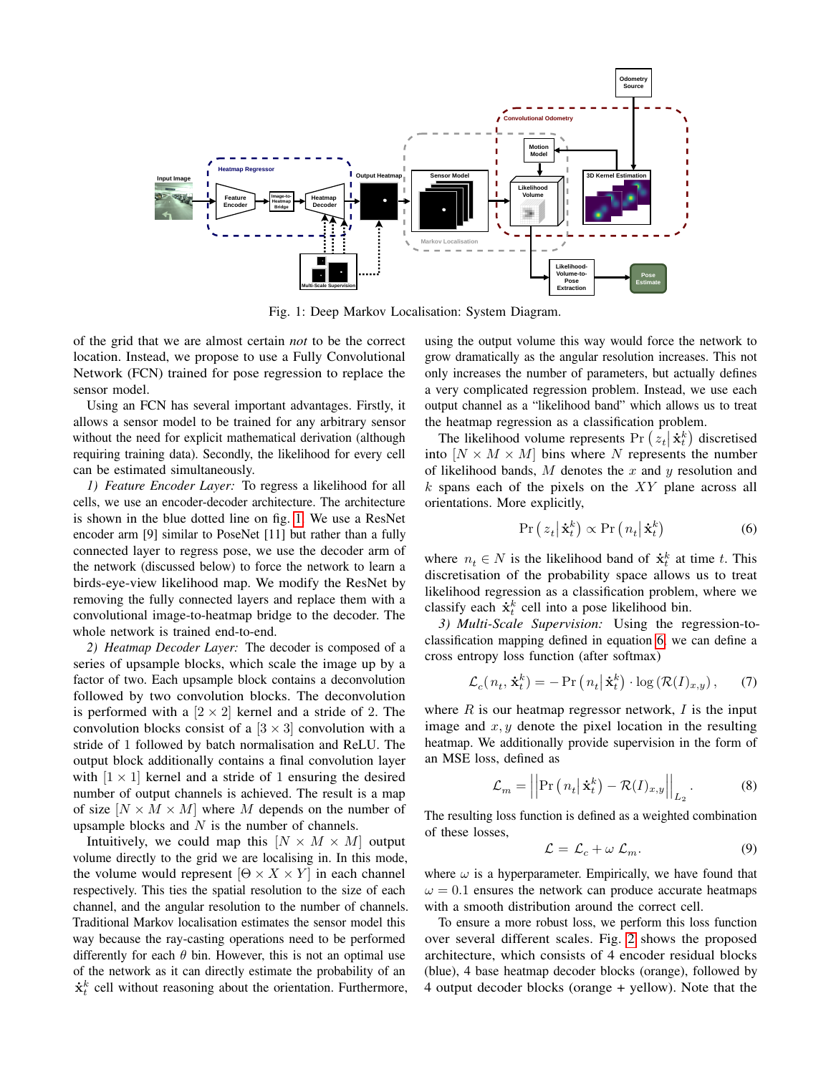<span id="page-2-0"></span>

Fig. 1: Deep Markov Localisation: System Diagram.

of the grid that we are almost certain *not* to be the correct location. Instead, we propose to use a Fully Convolutional Network (FCN) trained for pose regression to replace the sensor model.

Using an FCN has several important advantages. Firstly, it allows a sensor model to be trained for any arbitrary sensor without the need for explicit mathematical derivation (although requiring training data). Secondly, the likelihood for every cell can be estimated simultaneously.

*1) Feature Encoder Layer:* To regress a likelihood for all cells, we use an encoder-decoder architecture. The architecture is shown in the blue dotted line on fig. [1.](#page-2-0) We use a ResNet encoder arm [9] similar to PoseNet [11] but rather than a fully connected layer to regress pose, we use the decoder arm of the network (discussed below) to force the network to learn a birds-eye-view likelihood map. We modify the ResNet by removing the fully connected layers and replace them with a convolutional image-to-heatmap bridge to the decoder. The whole network is trained end-to-end.

*2) Heatmap Decoder Layer:* The decoder is composed of a series of upsample blocks, which scale the image up by a factor of two. Each upsample block contains a deconvolution followed by two convolution blocks. The deconvolution is performed with a  $[2 \times 2]$  kernel and a stride of 2. The convolution blocks consist of a  $[3 \times 3]$  convolution with a stride of 1 followed by batch normalisation and ReLU. The output block additionally contains a final convolution layer with  $[1 \times 1]$  kernel and a stride of 1 ensuring the desired number of output channels is achieved. The result is a map of size  $[N \times M \times M]$  where M depends on the number of upsample blocks and  $N$  is the number of channels.

Intuitively, we could map this  $[N \times M \times M]$  output volume directly to the grid we are localising in. In this mode, the volume would represent  $[Θ \times X \times Y]$  in each channel respectively. This ties the spatial resolution to the size of each channel, and the angular resolution to the number of channels. Traditional Markov localisation estimates the sensor model this way because the ray-casting operations need to be performed differently for each  $\theta$  bin. However, this is not an optimal use of the network as it can directly estimate the probability of an  $\dot{\mathbf{x}}_t^k$  cell without reasoning about the orientation. Furthermore,

using the output volume this way would force the network to grow dramatically as the angular resolution increases. This not only increases the number of parameters, but actually defines a very complicated regression problem. Instead, we use each output channel as a "likelihood band" which allows us to treat the heatmap regression as a classification problem.

The likelihood volume represents Pr  $(z_t|\dot{\mathbf{x}}_t^k)$  discretised into  $[N \times M \times M]$  bins where N represents the number of likelihood bands,  $M$  denotes the  $x$  and  $y$  resolution and  $k$  spans each of the pixels on the  $XY$  plane across all orientations. More explicitly,

<span id="page-2-1"></span>
$$
\Pr\left(z_t\big|\dot{\mathbf{x}}_t^k\right) \propto \Pr\left(n_t\big|\dot{\mathbf{x}}_t^k\right) \tag{6}
$$

where  $n_t \in N$  is the likelihood band of  $\dot{\mathbf{x}}_t^k$  at time t. This discretisation of the probability space allows us to treat likelihood regression as a classification problem, where we classify each  $\dot{\mathbf{x}}_t^k$  cell into a pose likelihood bin.

*3) Multi-Scale Supervision:* Using the regression-toclassification mapping defined in equation [6,](#page-2-1) we can define a cross entropy loss function (after softmax)

$$
\mathcal{L}_c(n_t, \dot{\mathbf{x}}_t^k) = -\Pr\left(n_t \middle| \dot{\mathbf{x}}_t^k\right) \cdot \log\left(\mathcal{R}(I)_{x,y}\right),\tag{7}
$$

where  $R$  is our heatmap regressor network,  $I$  is the input image and  $x, y$  denote the pixel location in the resulting heatmap. We additionally provide supervision in the form of an MSE loss, defined as

$$
\mathcal{L}_m = \left| \left| \Pr \left( n_t \middle| \dot{\mathbf{x}}_t^k \right) - \mathcal{R}(I)_{x,y} \right| \right|_{L_2}.
$$
 (8)

The resulting loss function is defined as a weighted combination of these losses,

$$
\mathcal{L} = \mathcal{L}_c + \omega \mathcal{L}_m. \tag{9}
$$

where  $\omega$  is a hyperparameter. Empirically, we have found that  $\omega = 0.1$  ensures the network can produce accurate heatmaps with a smooth distribution around the correct cell.

To ensure a more robust loss, we perform this loss function over several different scales. Fig. [2](#page-3-1) shows the proposed architecture, which consists of 4 encoder residual blocks (blue), 4 base heatmap decoder blocks (orange), followed by 4 output decoder blocks (orange + yellow). Note that the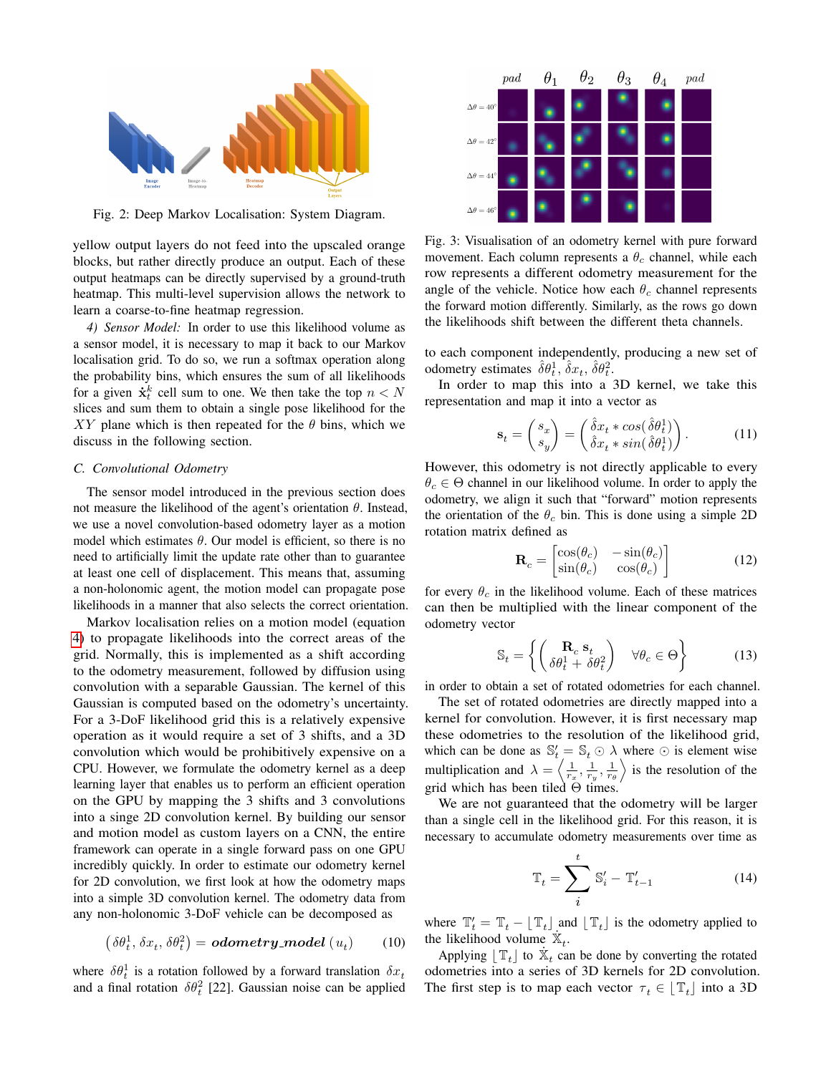<span id="page-3-1"></span>

Fig. 2: Deep Markov Localisation: System Diagram.

yellow output layers do not feed into the upscaled orange blocks, but rather directly produce an output. Each of these output heatmaps can be directly supervised by a ground-truth heatmap. This multi-level supervision allows the network to learn a coarse-to-fine heatmap regression.

*4) Sensor Model:* In order to use this likelihood volume as a sensor model, it is necessary to map it back to our Markov localisation grid. To do so, we run a softmax operation along the probability bins, which ensures the sum of all likelihoods for a given  $\dot{\mathbf{x}}_t^k$  cell sum to one. We then take the top  $n < N$ slices and sum them to obtain a single pose likelihood for the XY plane which is then repeated for the  $\theta$  bins, which we discuss in the following section.

## <span id="page-3-0"></span>*C. Convolutional Odometry*

The sensor model introduced in the previous section does not measure the likelihood of the agent's orientation  $θ$ . Instead, we use a novel convolution-based odometry layer as a motion model which estimates  $\theta$ . Our model is efficient, so there is no need to artificially limit the update rate other than to guarantee at least one cell of displacement. This means that, assuming a non-holonomic agent, the motion model can propagate pose likelihoods in a manner that also selects the correct orientation.

Markov localisation relies on a motion model (equation [4\)](#page-1-2) to propagate likelihoods into the correct areas of the grid. Normally, this is implemented as a shift according to the odometry measurement, followed by diffusion using convolution with a separable Gaussian. The kernel of this Gaussian is computed based on the odometry's uncertainty. For a 3-DoF likelihood grid this is a relatively expensive operation as it would require a set of 3 shifts, and a 3D convolution which would be prohibitively expensive on a CPU. However, we formulate the odometry kernel as a deep learning layer that enables us to perform an efficient operation on the GPU by mapping the 3 shifts and 3 convolutions into a singe 2D convolution kernel. By building our sensor and motion model as custom layers on a CNN, the entire framework can operate in a single forward pass on one GPU incredibly quickly. In order to estimate our odometry kernel for 2D convolution, we first look at how the odometry maps into a simple 3D convolution kernel. The odometry data from any non-holonomic 3-DoF vehicle can be decomposed as

$$
(\delta \theta_t^1, \delta x_t, \delta \theta_t^2) = \text{odometry-model} \ (u_t) \qquad (10)
$$

where  $\delta\theta_t^1$  is a rotation followed by a forward translation  $\delta x_t$ and a final rotation  $\delta\theta_t^2$  [22]. Gaussian noise can be applied

<span id="page-3-2"></span>

Fig. 3: Visualisation of an odometry kernel with pure forward movement. Each column represents a  $\theta_c$  channel, while each row represents a different odometry measurement for the angle of the vehicle. Notice how each  $\theta_c$  channel represents the forward motion differently. Similarly, as the rows go down the likelihoods shift between the different theta channels.

to each component independently, producing a new set of odometry estimates  $\hat{\delta} \theta_t^1$ ,  $\hat{\delta} x_t$ ,  $\hat{\delta} \theta_t^2$ .

In order to map this into a 3D kernel, we take this representation and map it into a vector as

$$
\mathbf{s}_t = \begin{pmatrix} s_x \\ s_y \end{pmatrix} = \begin{pmatrix} \hat{\delta}x_t * \cos(\hat{\delta}\theta_t^1) \\ \hat{\delta}x_t * \sin(\hat{\delta}\theta_t^1) \end{pmatrix}.
$$
 (11)

However, this odometry is not directly applicable to every  $\theta_c \in \Theta$  channel in our likelihood volume. In order to apply the odometry, we align it such that "forward" motion represents the orientation of the  $\theta_c$  bin. This is done using a simple 2D rotation matrix defined as

$$
\mathbf{R}_c = \begin{bmatrix} \cos(\theta_c) & -\sin(\theta_c) \\ \sin(\theta_c) & \cos(\theta_c) \end{bmatrix}
$$
(12)

for every  $\theta_c$  in the likelihood volume. Each of these matrices can then be multiplied with the linear component of the odometry vector

$$
\mathbb{S}_t = \left\{ \begin{pmatrix} \mathbf{R}_c & \mathbf{s}_t \\ \delta \theta_t^1 + \delta \theta_t^2 \end{pmatrix} \quad \forall \theta_c \in \Theta \right\} \tag{13}
$$

in order to obtain a set of rotated odometries for each channel.

The set of rotated odometries are directly mapped into a kernel for convolution. However, it is first necessary map these odometries to the resolution of the likelihood grid, which can be done as  $\mathbb{S}'_t = \mathbb{S}_t \odot \lambda$  where  $\odot$  is element wise multiplication and  $\lambda = \left\langle \frac{1}{r_x}, \frac{1}{r_y}, \frac{1}{r_\theta} \right\rangle$  is the resolution of the grid which has been tiled  $\Theta$  times.

We are not guaranteed that the odometry will be larger than a single cell in the likelihood grid. For this reason, it is necessary to accumulate odometry measurements over time as

$$
\mathbb{T}_t = \sum_i^t \mathbb{S}'_i - \mathbb{T}'_{t-1} \tag{14}
$$

where  $\mathbb{T}'_t = \mathbb{T}_t - \lfloor \mathbb{T}_t \rfloor$  and  $\lfloor \mathbb{T}_t \rfloor$  is the odometry applied to the likelihood volume  $\mathbf{\dot{x}}_t$ .

Applying  $\lfloor \mathbb{T}_t \rfloor$  to  $\dot{\mathbb{X}}_t$  can be done by converting the rotated odometries into a series of 3D kernels for 2D convolution. The first step is to map each vector  $\tau_t \in \lfloor T_t \rfloor$  into a 3D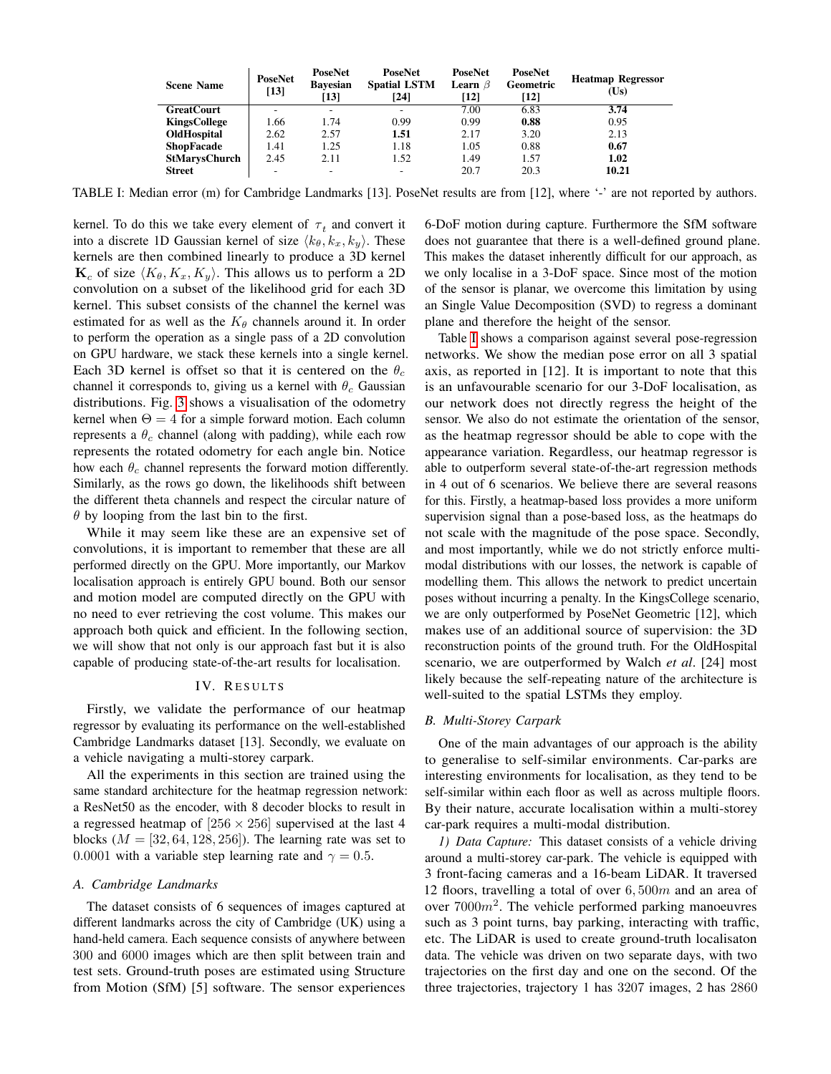<span id="page-4-0"></span>

| <b>Scene Name</b>   | <b>PoseNet</b><br>$[13]$ | <b>PoseNet</b><br><b>Bavesian</b><br>$\lceil 13 \rceil$ | <b>PoseNet</b><br><b>Spatial LSTM</b><br>[24] | <b>PoseNet</b><br><b>Learn</b> $\beta$<br>$\lceil 12 \rceil$ | <b>PoseNet</b><br>Geometric<br>[12] | <b>Heatmap Regressor</b><br>(Us) |
|---------------------|--------------------------|---------------------------------------------------------|-----------------------------------------------|--------------------------------------------------------------|-------------------------------------|----------------------------------|
| <b>GreatCourt</b>   |                          | $\overline{\phantom{a}}$                                | ۰                                             | 7.00                                                         | 6.83                                | 3.74                             |
| <b>KingsCollege</b> | 1.66                     | 1.74                                                    | 0.99                                          | 0.99                                                         | 0.88                                | 0.95                             |
| OldHospital         | 2.62                     | 2.57                                                    | 1.51                                          | 2.17                                                         | 3.20                                | 2.13                             |
| <b>ShopFacade</b>   | 1.41                     | 1.25                                                    | 1.18                                          | 1.05                                                         | 0.88                                | 0.67                             |
| StMarysChurch       | 2.45                     | 2.11                                                    | 1.52                                          | 1.49                                                         | 1.57                                | 1.02                             |
| <b>Street</b>       |                          | $\overline{\phantom{a}}$                                | ۰                                             | 20.7                                                         | 20.3                                | 10.21                            |

TABLE I: Median error (m) for Cambridge Landmarks [13]. PoseNet results are from [12], where '-' are not reported by authors.

kernel. To do this we take every element of  $\tau_t$  and convert it into a discrete 1D Gaussian kernel of size  $\langle k_\theta, k_x, k_y \rangle$ . These kernels are then combined linearly to produce a 3D kernel  $\mathbf{K}_c$  of size  $\langle K_\theta, K_x, K_y \rangle$ . This allows us to perform a 2D convolution on a subset of the likelihood grid for each 3D kernel. This subset consists of the channel the kernel was estimated for as well as the  $K_{\theta}$  channels around it. In order to perform the operation as a single pass of a 2D convolution on GPU hardware, we stack these kernels into a single kernel. Each 3D kernel is offset so that it is centered on the  $\theta_c$ channel it corresponds to, giving us a kernel with  $\theta_c$  Gaussian distributions. Fig. [3](#page-3-2) shows a visualisation of the odometry kernel when  $\Theta = 4$  for a simple forward motion. Each column represents a  $\theta_c$  channel (along with padding), while each row represents the rotated odometry for each angle bin. Notice how each  $\theta_c$  channel represents the forward motion differently. Similarly, as the rows go down, the likelihoods shift between the different theta channels and respect the circular nature of  $\theta$  by looping from the last bin to the first.

While it may seem like these are an expensive set of convolutions, it is important to remember that these are all performed directly on the GPU. More importantly, our Markov localisation approach is entirely GPU bound. Both our sensor and motion model are computed directly on the GPU with no need to ever retrieving the cost volume. This makes our approach both quick and efficient. In the following section, we will show that not only is our approach fast but it is also capable of producing state-of-the-art results for localisation.

# IV. RESULTS

Firstly, we validate the performance of our heatmap regressor by evaluating its performance on the well-established Cambridge Landmarks dataset [13]. Secondly, we evaluate on a vehicle navigating a multi-storey carpark.

All the experiments in this section are trained using the same standard architecture for the heatmap regression network: a ResNet50 as the encoder, with 8 decoder blocks to result in a regressed heatmap of  $[256 \times 256]$  supervised at the last 4 blocks  $(M = [32, 64, 128, 256])$ . The learning rate was set to 0.0001 with a variable step learning rate and  $\gamma = 0.5$ .

# *A. Cambridge Landmarks*

The dataset consists of 6 sequences of images captured at different landmarks across the city of Cambridge (UK) using a hand-held camera. Each sequence consists of anywhere between 300 and 6000 images which are then split between train and test sets. Ground-truth poses are estimated using Structure from Motion (SfM) [5] software. The sensor experiences

6-DoF motion during capture. Furthermore the SfM software does not guarantee that there is a well-defined ground plane. This makes the dataset inherently difficult for our approach, as we only localise in a 3-DoF space. Since most of the motion of the sensor is planar, we overcome this limitation by using an Single Value Decomposition (SVD) to regress a dominant plane and therefore the height of the sensor.

Table [I](#page-4-0) shows a comparison against several pose-regression networks. We show the median pose error on all 3 spatial axis, as reported in [12]. It is important to note that this is an unfavourable scenario for our 3-DoF localisation, as our network does not directly regress the height of the sensor. We also do not estimate the orientation of the sensor, as the heatmap regressor should be able to cope with the appearance variation. Regardless, our heatmap regressor is able to outperform several state-of-the-art regression methods in 4 out of 6 scenarios. We believe there are several reasons for this. Firstly, a heatmap-based loss provides a more uniform supervision signal than a pose-based loss, as the heatmaps do not scale with the magnitude of the pose space. Secondly, and most importantly, while we do not strictly enforce multimodal distributions with our losses, the network is capable of modelling them. This allows the network to predict uncertain poses without incurring a penalty. In the KingsCollege scenario, we are only outperformed by PoseNet Geometric [12], which makes use of an additional source of supervision: the 3D reconstruction points of the ground truth. For the OldHospital scenario, we are outperformed by Walch *et al*. [24] most likely because the self-repeating nature of the architecture is well-suited to the spatial LSTMs they employ.

#### *B. Multi-Storey Carpark*

One of the main advantages of our approach is the ability to generalise to self-similar environments. Car-parks are interesting environments for localisation, as they tend to be self-similar within each floor as well as across multiple floors. By their nature, accurate localisation within a multi-storey car-park requires a multi-modal distribution.

*1) Data Capture:* This dataset consists of a vehicle driving around a multi-storey car-park. The vehicle is equipped with 3 front-facing cameras and a 16-beam LiDAR. It traversed 12 floors, travelling a total of over 6, 500m and an area of over  $7000m^2$ . The vehicle performed parking manoeuvres such as 3 point turns, bay parking, interacting with traffic, etc. The LiDAR is used to create ground-truth localisaton data. The vehicle was driven on two separate days, with two trajectories on the first day and one on the second. Of the three trajectories, trajectory 1 has 3207 images, 2 has 2860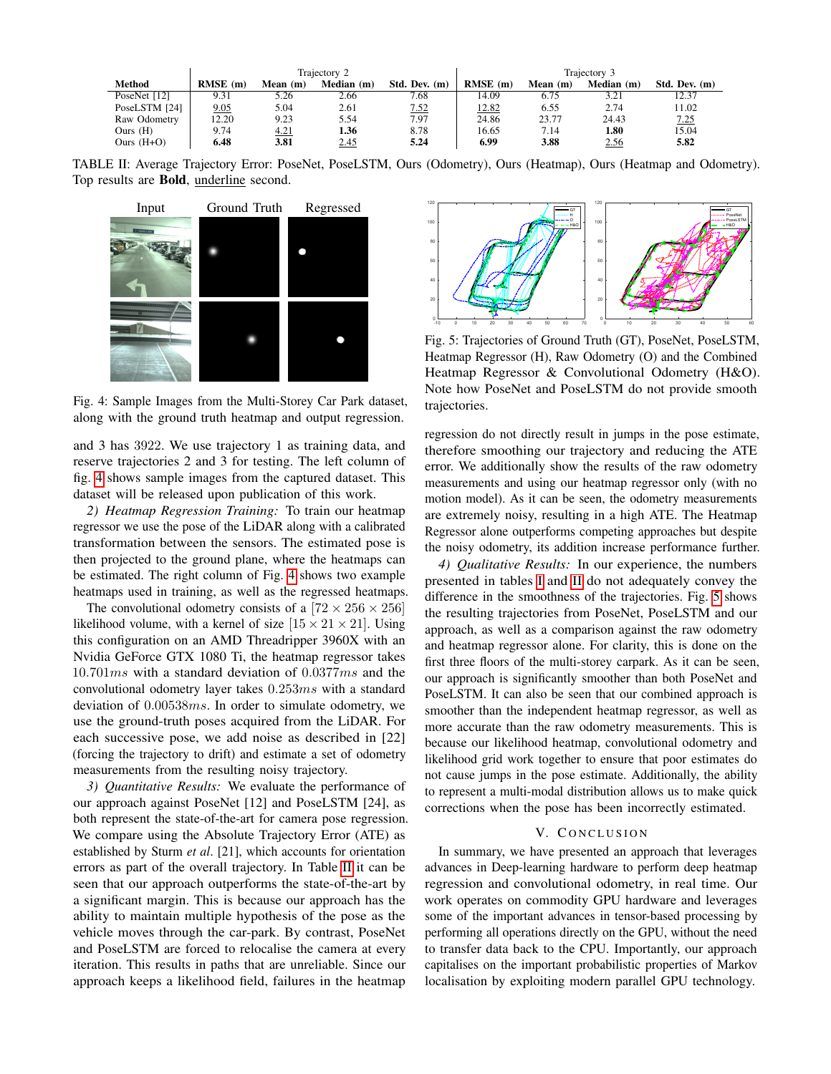<span id="page-5-1"></span>

|               | Trajectory 2 |            |            |               | Trajectory 3 |            |            |               |
|---------------|--------------|------------|------------|---------------|--------------|------------|------------|---------------|
| <b>Method</b> | $RMSE$ (m)   | Mean $(m)$ | Median (m) | Std. Dev. (m) | $RMSE$ (m)   | Mean $(m)$ | Median (m) | Std. Dev. (m) |
| PoseNet [12]  | 9.31         | 5.26       | 2.66       | 7.68          | 14.09        | 6.75       | 3.21       | 12.37         |
| PoseLSTM [24] | 9.05         | 5.04       | 2.61       | 7.52          | 12.82        | 6.55       | 2.74       | 11.02         |
| Raw Odometry  | 12.20        | 9.23       | 5.54       | 7.97          | 24.86        | 23.77      | 24.43      | 7.25          |
| Ours $(H)$    | 9.74         | 4.21       | 1.36       | 8.78          | 16.65        | 7.14       | 1.80       | 15.04         |
| Ours $(H+O)$  | 6.48         | 3.81       | 2.45       | 5.24          | 6.99         | 3.88       | 2.56       | 5.82          |

TABLE II: Average Trajectory Error: PoseNet, PoseLSTM, Ours (Odometry), Ours (Heatmap), Ours (Heatmap and Odometry). Top results are Bold, underline second.

<span id="page-5-0"></span>

Fig. 4: Sample Images from the Multi-Storey Car Park dataset, along with the ground truth heatmap and output regression.

and 3 has 3922. We use trajectory 1 as training data, and reserve trajectories 2 and 3 for testing. The left column of fig. [4](#page-5-0) shows sample images from the captured dataset. This dataset will be released upon publication of this work.

*2) Heatmap Regression Training:* To train our heatmap regressor we use the pose of the LiDAR along with a calibrated transformation between the sensors. The estimated pose is then projected to the ground plane, where the heatmaps can be estimated. The right column of Fig. [4](#page-5-0) shows two example heatmaps used in training, as well as the regressed heatmaps.

The convolutional odometry consists of a  $[72 \times 256 \times 256]$ likelihood volume, with a kernel of size  $[15 \times 21 \times 21]$ . Using this configuration on an AMD Threadripper 3960X with an Nvidia GeForce GTX 1080 Ti, the heatmap regressor takes 10.701ms with a standard deviation of 0.0377ms and the convolutional odometry layer takes 0.253ms with a standard deviation of 0.00538ms. In order to simulate odometry, we use the ground-truth poses acquired from the LiDAR. For each successive pose, we add noise as described in [22] (forcing the trajectory to drift) and estimate a set of odometry measurements from the resulting noisy trajectory.

*3) Quantitative Results:* We evaluate the performance of our approach against PoseNet [12] and PoseLSTM [24], as both represent the state-of-the-art for camera pose regression. We compare using the Absolute Trajectory Error (ATE) as established by Sturm *et al*. [21], which accounts for orientation errors as part of the overall trajectory. In Table [II](#page-5-1) it can be seen that our approach outperforms the state-of-the-art by a significant margin. This is because our approach has the ability to maintain multiple hypothesis of the pose as the vehicle moves through the car-park. By contrast, PoseNet and PoseLSTM are forced to relocalise the camera at every iteration. This results in paths that are unreliable. Since our approach keeps a likelihood field, failures in the heatmap

<span id="page-5-2"></span>

Fig. 5: Trajectories of Ground Truth (GT), PoseNet, PoseLSTM, Heatmap Regressor (H), Raw Odometry (O) and the Combined Heatmap Regressor & Convolutional Odometry (H&O). Note how PoseNet and PoseLSTM do not provide smooth trajectories.

regression do not directly result in jumps in the pose estimate, therefore smoothing our trajectory and reducing the ATE error. We additionally show the results of the raw odometry measurements and using our heatmap regressor only (with no motion model). As it can be seen, the odometry measurements are extremely noisy, resulting in a high ATE. The Heatmap Regressor alone outperforms competing approaches but despite the noisy odometry, its addition increase performance further.

*4) Qualitative Results:* In our experience, the numbers presented in tables [I](#page-4-0) and [II](#page-5-1) do not adequately convey the difference in the smoothness of the trajectories. Fig. [5](#page-5-2) shows the resulting trajectories from PoseNet, PoseLSTM and our approach, as well as a comparison against the raw odometry and heatmap regressor alone. For clarity, this is done on the first three floors of the multi-storey carpark. As it can be seen, our approach is significantly smoother than both PoseNet and PoseLSTM. It can also be seen that our combined approach is smoother than the independent heatmap regressor, as well as more accurate than the raw odometry measurements. This is because our likelihood heatmap, convolutional odometry and likelihood grid work together to ensure that poor estimates do not cause jumps in the pose estimate. Additionally, the ability to represent a multi-modal distribution allows us to make quick corrections when the pose has been incorrectly estimated.

#### V. CONCLUSION

In summary, we have presented an approach that leverages advances in Deep-learning hardware to perform deep heatmap regression and convolutional odometry, in real time. Our work operates on commodity GPU hardware and leverages some of the important advances in tensor-based processing by performing all operations directly on the GPU, without the need to transfer data back to the CPU. Importantly, our approach capitalises on the important probabilistic properties of Markov localisation by exploiting modern parallel GPU technology.